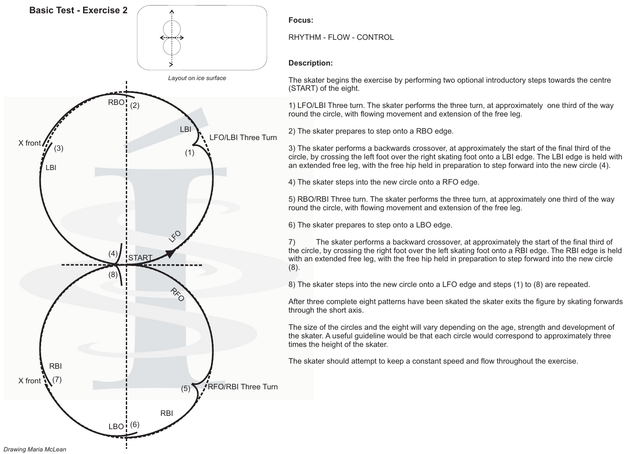

*Drawing Maria McLean*

**Focus:**

RHYTHM - FLOW - CONTROL

## **Description:**

The skater begins the exercise by performing two optional introductory steps towards the centre (START) of the eight.

1) LFO/LBI Three turn. The skater performs the three turn, at approximately one third of the way round the circle, with flowing movement and extension of the free leg.

2) The skater prepares to step onto <sup>a</sup> RBO edge.

3) The skater performs <sup>a</sup> backwards crossover, at approximately the start of the final third of the circle, by crossing the left foot over the right skating foot onto <sup>a</sup> LBI edge. The LBI edge is held with an extended free leg, with the free hip held in preparation to step forward into the new circle (4).

4) The skater steps into the new circle onto <sup>a</sup> RFO edge.

5) RBO/RBI Three turn. The skater performs the three turn, at approximately one third of the way round the circle, with flowing movement and extension of the free leg.

6) The skater prepares to step onto <sup>a</sup> LBO edge.

7) The skater performs <sup>a</sup> backward crossover, at approximately the start of the final third of the circle, by crossing the right foot over the left skating foot onto <sup>a</sup> RBI edge. The RBI edge is held with an extended free leg, with the free hip held in preparation to step forward into the new circle (8).

8) The skater steps into the new circle onto <sup>a</sup> LFO edge and steps (1) to (8) are repeated.

After three complete eight patterns have been skated the skater exits the figure by skating forwards through the short axis.

The size of the circles and the eight will vary depending on the age, strength and development of the skater. A useful guideline would be that each circle would correspond to approximately three times the height of the skater.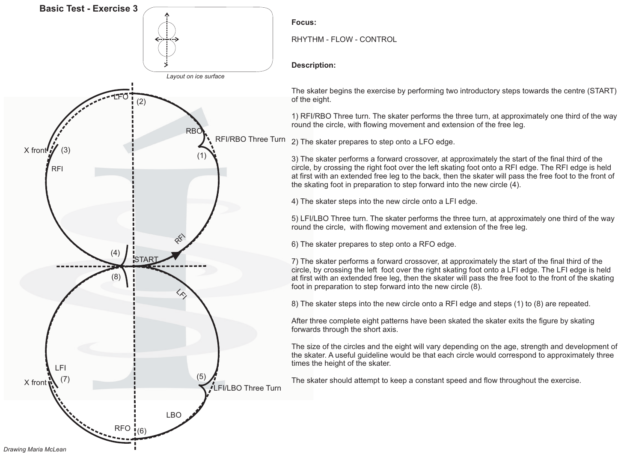

*Drawing Maria McLean*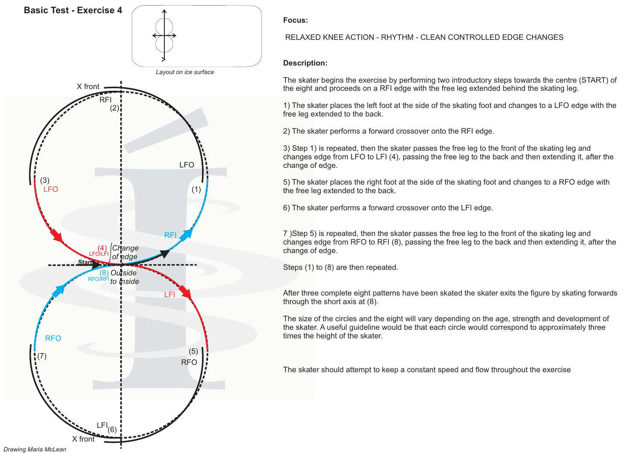

### RELAXED KNEE ACTION - RHYTHM - CLEAN CONTROLLED EDGE CHANGES

### **Description:**

The skater begins the exercise by performing two introductory steps towards the centre (START) of the eight and proceeds on <sup>a</sup> RFI edge with the free leg extended behind the skating leg.

1) The skater places the left foot at the side of the skating foot and changes to <sup>a</sup> LFO edge with the free leg extended to the back.

2) The skater performs <sup>a</sup> forward crossover onto the RFI edge.

3) Step 1) is repeated, then the skater passes the free leg to the front of the skating leg and changes edge from LFO to LFI (4), passing the free leg to the back and then extending it, after the change of edge.

5) The skater places the right foot at the side of the skating foot and changes to <sup>a</sup> RFO edge with the free leg extended to the back.

6) The skater performs <sup>a</sup> forward crossover onto the LFI edge.

7 ) Step 5) is repeated, then the skater passes the free leg to the front of the skating leg and changes edge from RFO to RFI (8), passing the free leg to the back and then extending it, after the change of edge.

Steps (1) to (8) are then repeated.

After three complete eight patterns have been skated the skater exits the figure by skating forwards through the short axis at (8).

The size of the circles and the eight will vary depending on the age, strength and development of the skater. A useful guideline would be that each circle would correspond to approximately three times the height of the skater.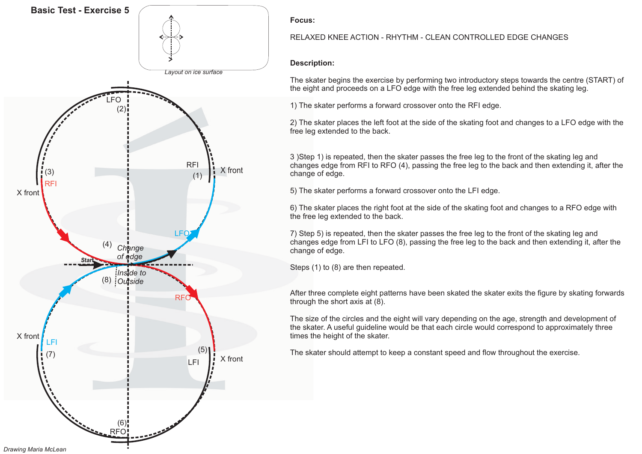

### RELAXED KNEE ACTION - RHYTHM - CLEAN CONTROLLED EDGE CHANGES

### **Description:**

The skater begins the exercise by performing two introductory steps towards the centre (START) of the eight and proceeds on <sup>a</sup> LFO edge with the free leg extended behind the skating leg.

1) The skater performs <sup>a</sup> forward crossover onto the RFI edge.

2) The skater places the left foot at the side of the skating foot and changes to <sup>a</sup> LFO edge with the free leg extended to the back.

3 )Step 1) is repeated, then the skater passes the free leg to the front of the skating leg and changes edge from RFI to RFO (4), passing the free leg to the back and then extending it, after the change of edge.

5) The skater performs <sup>a</sup> forward crossover onto the LFI edge.

6) The skater places the right foot at the side of the skating foot and changes to <sup>a</sup> RFO edge with the free leg extended to the back.

7) Step 5) is repeated, then the skater passes the free leg to the front of the skating leg and changes edge from LFI to LFO (8), passing the free leg to the back and then extending it, after the change of edge.

Steps (1) to (8) are then repeated.

After three complete eight patterns have been skated the skater exits the figure by skating forwards through the short axis at (8).

The size of the circles and the eight will vary depending on the age, strength and development of the skater. A useful guideline would be that each circle would correspond to approximately three times the height of the skater.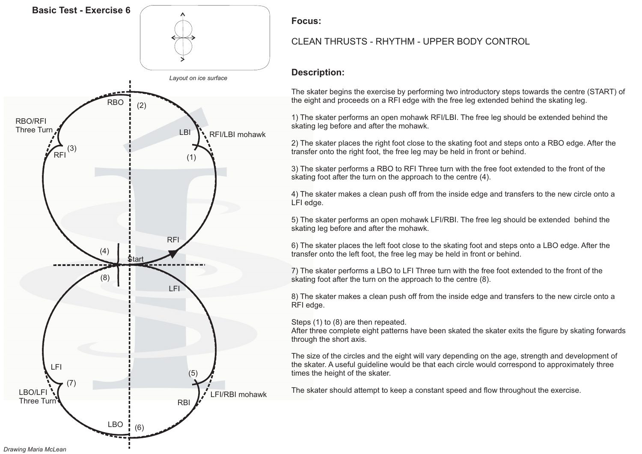

# CLEAN THRUSTS - RHYTHM - UPPER BODY CONTROL

# **Description:**

The skater begins the exercise by performing two introductory steps towards the centre (START) of the eight and proceeds on <sup>a</sup> RFI edge with the free leg extended behind the skating leg.

1) The skater performs an open mohawk RFI/LBI. The free leg should be extended behind the skating leg before and after the mohawk.

2) The skater places the right foot close to the skating foot and steps onto <sup>a</sup> RBO edge. After the transfer onto the right foot, the free leg may be held in front or behind.

3) The skater performs <sup>a</sup> RBO to RFI Three turn with the free foot extended to the front of the skating foot after the turn on the approach to the centre (4).

4) The skater makes <sup>a</sup> clean push off from the inside edge and transfers to the new circle onto <sup>a</sup> LFI edge.

5) The skater performs an open mohawk LFI/RBI. The free leg should be extended behind the skating leg before and after the mohawk.

6) The skater places the left foot close to the skating foot and steps onto a LBO edge. After the transfer onto the left foot, the free leg may be held in front or behind.

7) The skater performs a LBO to LFI Three turn with the free foot extended to the front of the skating foot after the turn on the approach to the centre (8).

8) The skater makes a clean push off from the inside edge and transfers to the new circle onto a RFI edge.

Steps (1) to (8) are then repeated.

After three complete eight patterns have been skated the skater exits the figure by skating forwards through the short axis.

The size of the circles and the eight will vary depending on the age, strength and development of the skater. A useful guideline would be that each circle would correspond to approximately three times the height of the skater.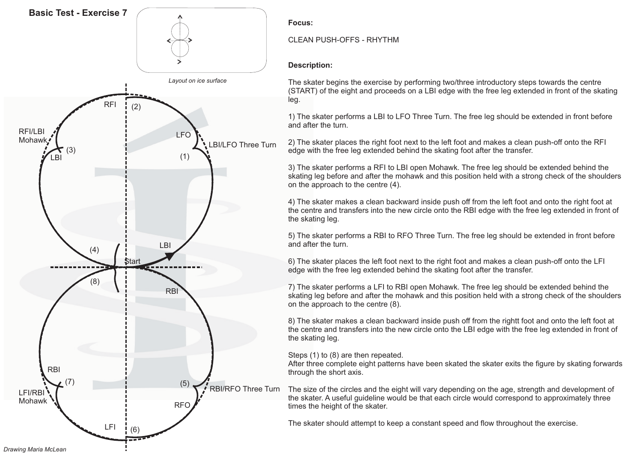

### CLEAN PUSH-OFFS - RHYTHM

## **Description:**

The skater begins the exercise by performing two/three introductory steps towards the centre (START) of the eight and proceeds on <sup>a</sup> LBI edge with the free leg extended in front of the skating leg.

1) The skater performs <sup>a</sup> LBI to LFO Three Turn. The free leg should be extended in front before and after the turn.

2) The skater places the right foot next to the left foot and makes <sup>a</sup> clean push-off onto the RFI edge with the free leg extended behind the skating foot after the transfer.

3) The skater performs <sup>a</sup> RFI to LBI open Mohawk. The free leg should be extended behind the skating leg before and after the mohawk and this position held with <sup>a</sup> strong check of the shoulders on the approach to the centre (4).

4) The skater makes <sup>a</sup> clean backward inside push off from the left foot and onto the right foot at the centre and transfers into the new circle onto the RBI edge with the free leg extended in front of the skating leg.

5) The skater performs <sup>a</sup> RBI to RFO Three Turn. The free leg should be extended in front before and after the turn.

6) The skater places the left foot next to the right foot and makes <sup>a</sup> clean push-off onto the LFI edge with the free leg extended behind the skating foot after the transfer.

7) The skater performs <sup>a</sup> LFI to RBI open Mohawk. The free leg should be extended behind the skating leg before and after the mohawk and this position held with <sup>a</sup> strong check of the shoulders on the approach to the centre (8).

8) The skater makes <sup>a</sup> clean backward inside push off from the rightt foot and onto the left foot at the centre and transfers into the new circle onto the LBI edge with the free leg extended in front of the skating leg.

Steps (1) to (8) are then repeated.

After three complete eight patterns have been skated the skater exits the figure by skating forwards through the short axis.

The size of the circles and the eight will vary depending on the age, strength and development of the skater. A useful guideline would be that each circle would correspond to approximately three times the height of the skater.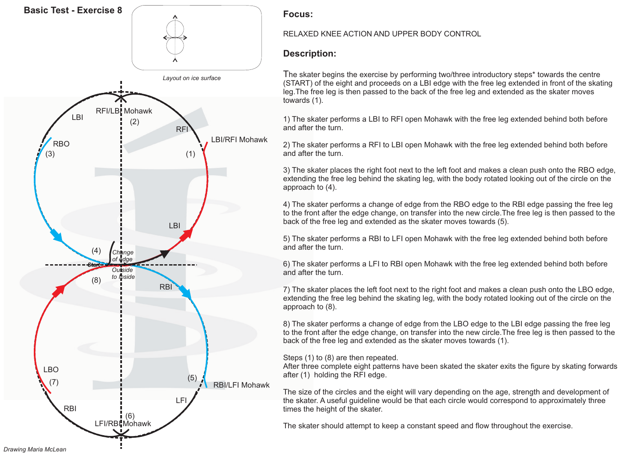

### RELAXED KNEE ACTION AND UPPER BODY CONTROL

# **Description:**

The skater begins the exercise by performing two/three introductory steps\* towards the centre (START) of the eight and proceeds on <sup>a</sup> LBI edge with the free leg extended in front of the skating leg.The free leg is then passed to the back of the free leg and extended as the skater moves towards (1).

1) The skater performs <sup>a</sup> LBI to RFI open Mohawk with the free leg extended behind both before and after the turn.

2) The skater performs <sup>a</sup> RFI to LBI open Mohawk with the free leg extended behind both before and after the turn.

3) The skater places the right foot next to the left foot and makes <sup>a</sup> clean push onto the RBO edge, extending the free leg behind the skating leg, with the body rotated looking out of the circle on the approach to (4).

4) The skater performs <sup>a</sup> change of edge from the RBO edge to the RBI edge passing the free leg to the front after the edge change, on transfer into the new circle.The free leg is then passed to the back of the free leg and extended as the skater moves towards (5).

5) The skater performs <sup>a</sup> RBI to LFI open Mohawk with the free leg extended behind both before and after the turn.

6) The skater performs <sup>a</sup> LFI to RBI open Mohawk with the free leg extended behind both before and after the turn.

7) The skater places the left foot next to the right foot and makes <sup>a</sup> clean push onto the LBO edge, extending the free leg behind the skating leg, with the body rotated looking out of the circle on the approach to (8).

8) The skater performs <sup>a</sup> change of edge from the LBO edge to the LBI edge passing the free leg to the front after the edge change, on transfer into the new circle.The free leg is then passed to the back of the free leg and extended as the skater moves towards (1).

### Steps (1) to (8) are then repeated.

After three complete eight patterns have been skated the skater exits the figure by skating forwards after (1) holding the RFI edge.

The size of the circles and the eight will vary depending on the age, strength and development of the skater. A useful guideline would be that each circle would correspond to approximately three times the height of the skater.